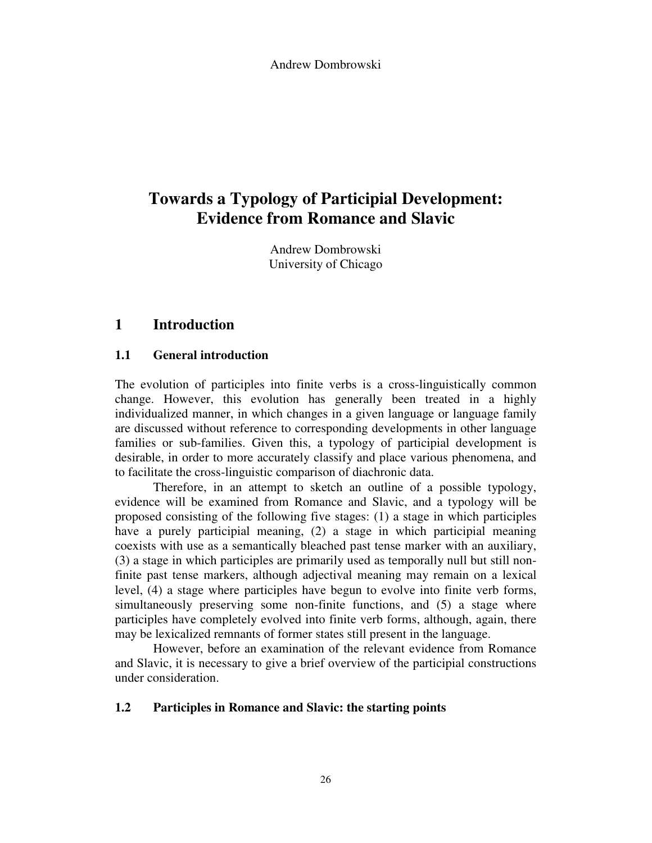Andrew Dombrowski

# **Towards a Typology of Participial Development: Evidence from Romance and Slavic**

Andrew Dombrowski University of Chicago

# **1 Introduction**

# **1.1 General introduction**

The evolution of participles into finite verbs is a cross-linguistically common change. However, this evolution has generally been treated in a highly individualized manner, in which changes in a given language or language family are discussed without reference to corresponding developments in other language families or sub-families. Given this, a typology of participial development is desirable, in order to more accurately classify and place various phenomena, and to facilitate the cross-linguistic comparison of diachronic data.

 Therefore, in an attempt to sketch an outline of a possible typology, evidence will be examined from Romance and Slavic, and a typology will be proposed consisting of the following five stages: (1) a stage in which participles have a purely participial meaning, (2) a stage in which participial meaning coexists with use as a semantically bleached past tense marker with an auxiliary, (3) a stage in which participles are primarily used as temporally null but still nonfinite past tense markers, although adjectival meaning may remain on a lexical level, (4) a stage where participles have begun to evolve into finite verb forms, simultaneously preserving some non-finite functions, and (5) a stage where participles have completely evolved into finite verb forms, although, again, there may be lexicalized remnants of former states still present in the language.

 However, before an examination of the relevant evidence from Romance and Slavic, it is necessary to give a brief overview of the participial constructions under consideration.

#### **1.2 Participles in Romance and Slavic: the starting points**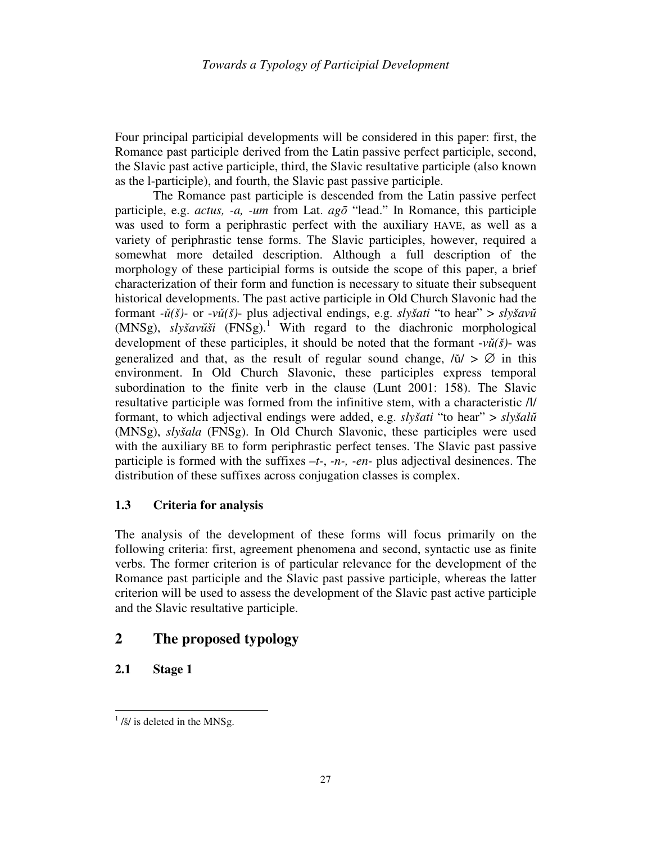Four principal participial developments will be considered in this paper: first, the Romance past participle derived from the Latin passive perfect participle, second, the Slavic past active participle, third, the Slavic resultative participle (also known as the l-participle), and fourth, the Slavic past passive participle.

 The Romance past participle is descended from the Latin passive perfect participle, e.g. *actus, -a, -um* from Lat. *ag*ō "lead." In Romance, this participle was used to form a periphrastic perfect with the auxiliary HAVE, as well as a variety of periphrastic tense forms. The Slavic participles, however, required a somewhat more detailed description. Although a full description of the morphology of these participial forms is outside the scope of this paper, a brief characterization of their form and function is necessary to situate their subsequent historical developments. The past active participle in Old Church Slavonic had the formant *-*ǔ*(š)-* or -*v*ǔ*(š)*- plus adjectival endings, e.g. *slyšati* "to hear" > *slyšav*ŭ (MNSg), *slyšav*ŭ*ši* (FNSg).<sup>1</sup> With regard to the diachronic morphological development of these participles, it should be noted that the formant  $-v\check{u}(\check{s})$ - was generalized and that, as the result of regular sound change,  $\partial \tilde{u} > \emptyset$  in this environment. In Old Church Slavonic, these participles express temporal subordination to the finite verb in the clause (Lunt 2001: 158). The Slavic resultative participle was formed from the infinitive stem, with a characteristic /l/ formant, to which adjectival endings were added, e.g. *slyšati* "to hear" > *slyšal*ŭ (MNSg), *slyšala* (FNSg). In Old Church Slavonic, these participles were used with the auxiliary BE to form periphrastic perfect tenses. The Slavic past passive participle is formed with the suffixes *–t-*, *-n-, -en-* plus adjectival desinences. The distribution of these suffixes across conjugation classes is complex.

# **1.3 Criteria for analysis**

The analysis of the development of these forms will focus primarily on the following criteria: first, agreement phenomena and second, syntactic use as finite verbs. The former criterion is of particular relevance for the development of the Romance past participle and the Slavic past passive participle, whereas the latter criterion will be used to assess the development of the Slavic past active participle and the Slavic resultative participle.

# **2 The proposed typology**

# **2.1 Stage 1**

 $\frac{1}{\frac{3}{5}}$  is deleted in the MNSg.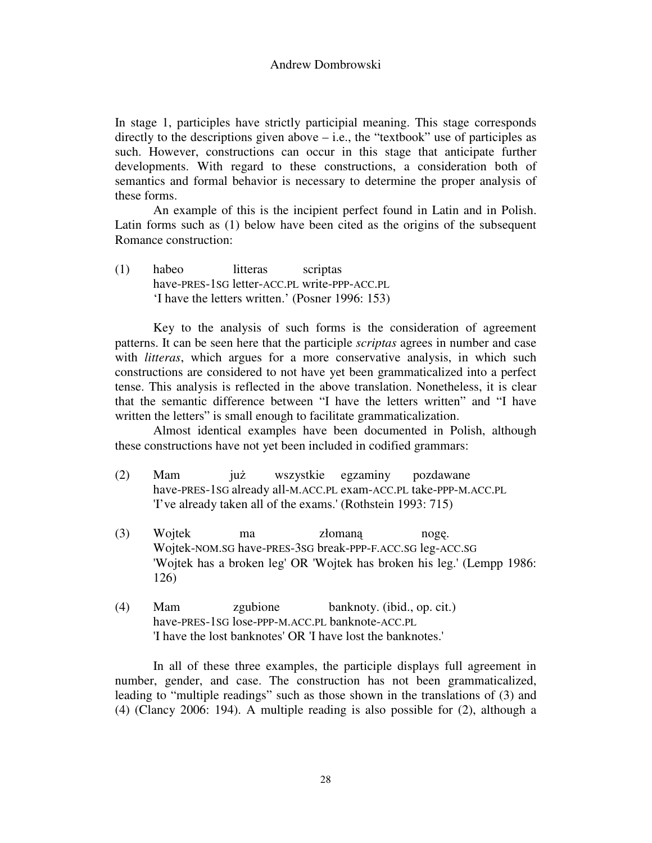In stage 1, participles have strictly participial meaning. This stage corresponds directly to the descriptions given above  $-$  i.e., the "textbook" use of participles as such. However, constructions can occur in this stage that anticipate further developments. With regard to these constructions, a consideration both of semantics and formal behavior is necessary to determine the proper analysis of these forms.

 An example of this is the incipient perfect found in Latin and in Polish. Latin forms such as (1) below have been cited as the origins of the subsequent Romance construction:

(1) habeo litteras scriptas have-PRES-1SG letter-ACC.PL write-PPP-ACC.PL 'I have the letters written.' (Posner 1996: 153)

 Key to the analysis of such forms is the consideration of agreement patterns. It can be seen here that the participle *scriptas* agrees in number and case with *litteras*, which argues for a more conservative analysis, in which such constructions are considered to not have yet been grammaticalized into a perfect tense. This analysis is reflected in the above translation. Nonetheless, it is clear that the semantic difference between "I have the letters written" and "I have written the letters" is small enough to facilitate grammaticalization.

 Almost identical examples have been documented in Polish, although these constructions have not yet been included in codified grammars:

- (2) Mam już wszystkie egzaminy pozdawane have-PRES-1SG already all-M.ACC.PL exam-ACC.PL take-PPP-M.ACC.PL 'I've already taken all of the exams.' (Rothstein 1993: 715)
- (3) Wojtek ma złomaną nogę. Wojtek-NOM.SG have-PRES-3SG break-PPP-F.ACC.SG leg-ACC.SG 'Wojtek has a broken leg' OR 'Wojtek has broken his leg.' (Lempp 1986: 126)
- (4) Mam zgubione banknoty. (ibid., op. cit.) have-PRES-1SG lose-PPP-M.ACC.PL banknote-ACC.PL 'I have the lost banknotes' OR 'I have lost the banknotes.'

In all of these three examples, the participle displays full agreement in number, gender, and case. The construction has not been grammaticalized, leading to "multiple readings" such as those shown in the translations of (3) and (4) (Clancy 2006: 194). A multiple reading is also possible for (2), although a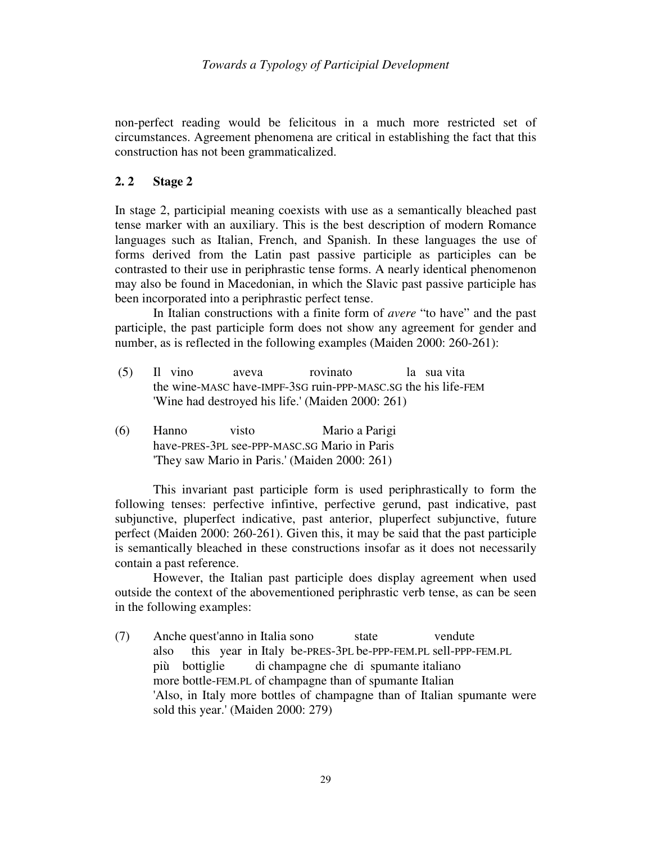non-perfect reading would be felicitous in a much more restricted set of circumstances. Agreement phenomena are critical in establishing the fact that this construction has not been grammaticalized.

### **2. 2 Stage 2**

In stage 2, participial meaning coexists with use as a semantically bleached past tense marker with an auxiliary. This is the best description of modern Romance languages such as Italian, French, and Spanish. In these languages the use of forms derived from the Latin past passive participle as participles can be contrasted to their use in periphrastic tense forms. A nearly identical phenomenon may also be found in Macedonian, in which the Slavic past passive participle has been incorporated into a periphrastic perfect tense.

 In Italian constructions with a finite form of *avere* "to have" and the past participle, the past participle form does not show any agreement for gender and number, as is reflected in the following examples (Maiden 2000: 260-261):

- (5) Il vino aveva rovinato la sua vita the wine-MASC have-IMPF-3SG ruin-PPP-MASC.SG the his life-FEM 'Wine had destroyed his life.' (Maiden 2000: 261)
- (6) Hanno visto Mario a Parigi have-PRES-3PL see-PPP-MASC.SG Mario in Paris 'They saw Mario in Paris.' (Maiden 2000: 261)

 This invariant past participle form is used periphrastically to form the following tenses: perfective infintive, perfective gerund, past indicative, past subjunctive, pluperfect indicative, past anterior, pluperfect subjunctive, future perfect (Maiden 2000: 260-261). Given this, it may be said that the past participle is semantically bleached in these constructions insofar as it does not necessarily contain a past reference.

 However, the Italian past participle does display agreement when used outside the context of the abovementioned periphrastic verb tense, as can be seen in the following examples:

(7) Anche quest'anno in Italia sono state vendute also this year in Italy be-PRES-3PL be-PPP-FEM.PL sell-PPP-FEM.PL più bottiglie di champagne che di spumante italiano more bottle-FEM.PL of champagne than of spumante Italian 'Also, in Italy more bottles of champagne than of Italian spumante were sold this year.' (Maiden 2000: 279)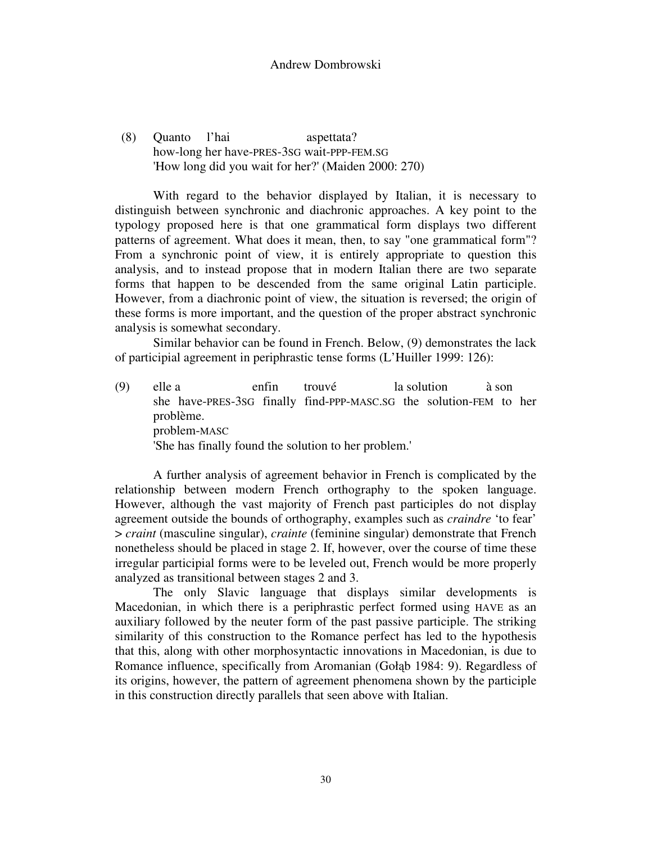#### Andrew Dombrowski

 (8) Quanto l'hai aspettata? how-long her have-PRES-3SG wait-PPP-FEM.SG 'How long did you wait for her?' (Maiden 2000: 270)

 With regard to the behavior displayed by Italian, it is necessary to distinguish between synchronic and diachronic approaches. A key point to the typology proposed here is that one grammatical form displays two different patterns of agreement. What does it mean, then, to say "one grammatical form"? From a synchronic point of view, it is entirely appropriate to question this analysis, and to instead propose that in modern Italian there are two separate forms that happen to be descended from the same original Latin participle. However, from a diachronic point of view, the situation is reversed; the origin of these forms is more important, and the question of the proper abstract synchronic analysis is somewhat secondary.

 Similar behavior can be found in French. Below, (9) demonstrates the lack of participial agreement in periphrastic tense forms (L'Huiller 1999: 126):

(9) elle a enfin trouvé la solution à son she have-PRES-3SG finally find-PPP-MASC.SG the solution-FEM to her problème. problem-MASC 'She has finally found the solution to her problem.'

 A further analysis of agreement behavior in French is complicated by the relationship between modern French orthography to the spoken language. However, although the vast majority of French past participles do not display agreement outside the bounds of orthography, examples such as *craindre* 'to fear' > *craint* (masculine singular), *crainte* (feminine singular) demonstrate that French nonetheless should be placed in stage 2. If, however, over the course of time these irregular participial forms were to be leveled out, French would be more properly analyzed as transitional between stages 2 and 3.

 The only Slavic language that displays similar developments is Macedonian, in which there is a periphrastic perfect formed using HAVE as an auxiliary followed by the neuter form of the past passive participle. The striking similarity of this construction to the Romance perfect has led to the hypothesis that this, along with other morphosyntactic innovations in Macedonian, is due to Romance influence, specifically from Aromanian (Gołąb 1984: 9). Regardless of its origins, however, the pattern of agreement phenomena shown by the participle in this construction directly parallels that seen above with Italian.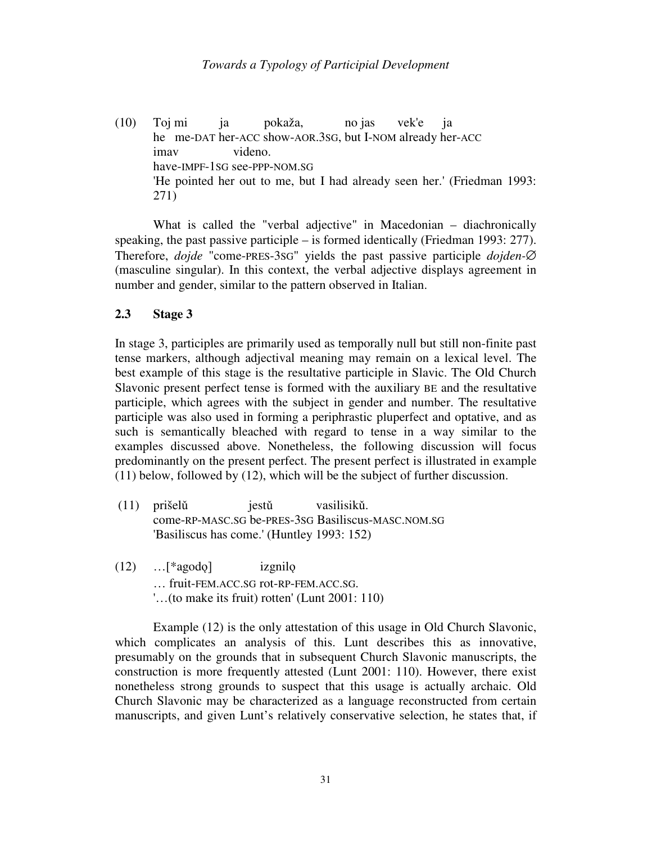(10) Toj mi ja pokaža, no jas vek'e ja he me-DAT her-ACC show-AOR.3SG, but I-NOM already her-ACC imav videno. have-IMPF-1SG see-PPP-NOM.SG 'He pointed her out to me, but I had already seen her.' (Friedman 1993: 271)

 What is called the "verbal adjective" in Macedonian – diachronically speaking, the past passive participle – is formed identically (Friedman 1993: 277). Therefore, *dojde* "come-PRES-3SG" yields the past passive participle *dojden-*∅ (masculine singular). In this context, the verbal adjective displays agreement in number and gender, similar to the pattern observed in Italian.

### **2.3 Stage 3**

In stage 3, participles are primarily used as temporally null but still non-finite past tense markers, although adjectival meaning may remain on a lexical level. The best example of this stage is the resultative participle in Slavic. The Old Church Slavonic present perfect tense is formed with the auxiliary BE and the resultative participle, which agrees with the subject in gender and number. The resultative participle was also used in forming a periphrastic pluperfect and optative, and as such is semantically bleached with regard to tense in a way similar to the examples discussed above. Nonetheless, the following discussion will focus predominantly on the present perfect. The present perfect is illustrated in example (11) below, followed by (12), which will be the subject of further discussion.

- (11) prišelǔ jestǔ vasilisikǔ. come-RP-MASC.SG be-PRES-3SG Basiliscus-MASC.NOM.SG 'Basiliscus has come.' (Huntley 1993: 152)
- (12) …[\*agodǫ] izgnilǫ … fruit-FEM.ACC.SG rot-RP-FEM.ACC.SG. '…(to make its fruit) rotten' (Lunt 2001: 110)

 Example (12) is the only attestation of this usage in Old Church Slavonic, which complicates an analysis of this. Lunt describes this as innovative, presumably on the grounds that in subsequent Church Slavonic manuscripts, the construction is more frequently attested (Lunt 2001: 110). However, there exist nonetheless strong grounds to suspect that this usage is actually archaic. Old Church Slavonic may be characterized as a language reconstructed from certain manuscripts, and given Lunt's relatively conservative selection, he states that, if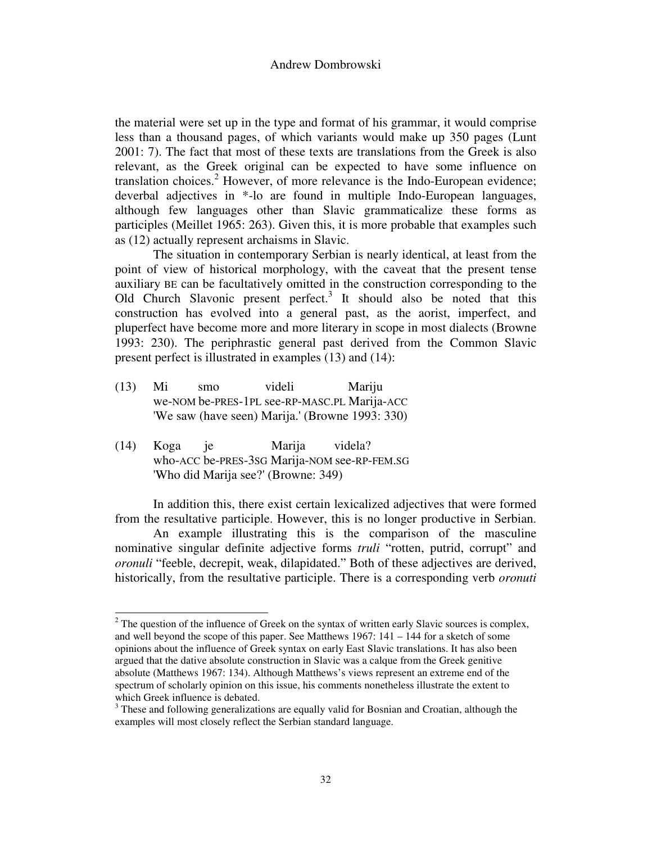the material were set up in the type and format of his grammar, it would comprise less than a thousand pages, of which variants would make up 350 pages (Lunt 2001: 7). The fact that most of these texts are translations from the Greek is also relevant, as the Greek original can be expected to have some influence on translation choices.<sup>2</sup> However, of more relevance is the Indo-European evidence; deverbal adjectives in \*-lo are found in multiple Indo-European languages, although few languages other than Slavic grammaticalize these forms as participles (Meillet 1965: 263). Given this, it is more probable that examples such as (12) actually represent archaisms in Slavic.

 The situation in contemporary Serbian is nearly identical, at least from the point of view of historical morphology, with the caveat that the present tense auxiliary BE can be facultatively omitted in the construction corresponding to the Old Church Slavonic present perfect.<sup>3</sup> It should also be noted that this construction has evolved into a general past, as the aorist, imperfect, and pluperfect have become more and more literary in scope in most dialects (Browne 1993: 230). The periphrastic general past derived from the Common Slavic present perfect is illustrated in examples (13) and (14):

- (13) Mi smo videli Mariju we-NOM be-PRES-1PL see-RP-MASC.PL Marija-ACC 'We saw (have seen) Marija.' (Browne 1993: 330)
- (14) Koga je Marija videla? who-ACC be-PRES-3SG Marija-NOM see-RP-FEM.SG 'Who did Marija see?' (Browne: 349)

l

 In addition this, there exist certain lexicalized adjectives that were formed from the resultative participle. However, this is no longer productive in Serbian.

 An example illustrating this is the comparison of the masculine nominative singular definite adjective forms *truli* "rotten, putrid, corrupt" and *oronuli* "feeble, decrepit, weak, dilapidated." Both of these adjectives are derived, historically, from the resultative participle. There is a corresponding verb *oronuti*

 $2^2$  The question of the influence of Greek on the syntax of written early Slavic sources is complex, and well beyond the scope of this paper. See Matthews 1967: 141 – 144 for a sketch of some opinions about the influence of Greek syntax on early East Slavic translations. It has also been argued that the dative absolute construction in Slavic was a calque from the Greek genitive absolute (Matthews 1967: 134). Although Matthews's views represent an extreme end of the spectrum of scholarly opinion on this issue, his comments nonetheless illustrate the extent to which Greek influence is debated.

 $3$  These and following generalizations are equally valid for Bosnian and Croatian, although the examples will most closely reflect the Serbian standard language.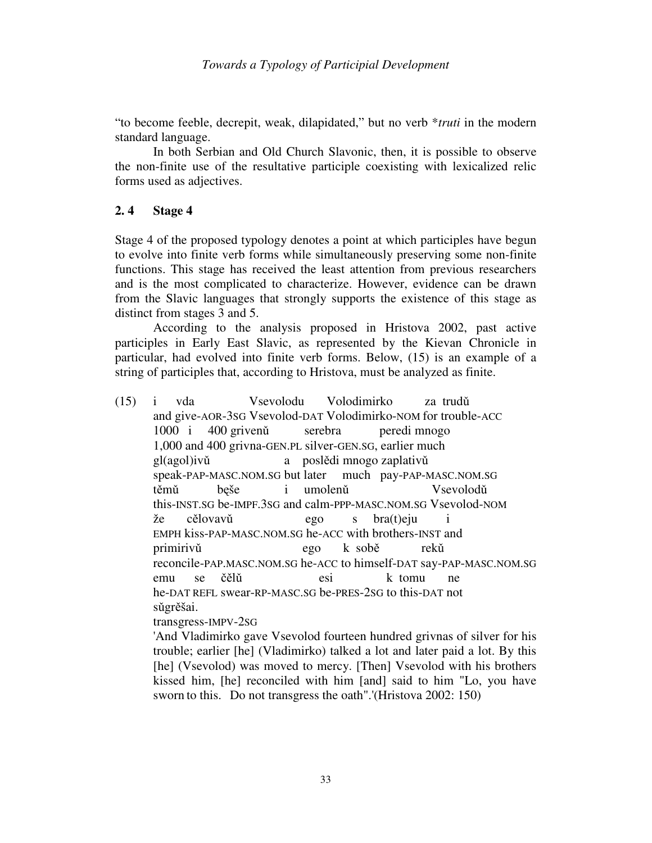"to become feeble, decrepit, weak, dilapidated," but no verb \**truti* in the modern standard language.

 In both Serbian and Old Church Slavonic, then, it is possible to observe the non-finite use of the resultative participle coexisting with lexicalized relic forms used as adjectives.

### **2. 4 Stage 4**

Stage 4 of the proposed typology denotes a point at which participles have begun to evolve into finite verb forms while simultaneously preserving some non-finite functions. This stage has received the least attention from previous researchers and is the most complicated to characterize. However, evidence can be drawn from the Slavic languages that strongly supports the existence of this stage as distinct from stages 3 and 5.

 According to the analysis proposed in Hristova 2002, past active participles in Early East Slavic, as represented by the Kievan Chronicle in particular, had evolved into finite verb forms. Below, (15) is an example of a string of participles that, according to Hristova, must be analyzed as finite.

(15) i vda Vsevolodu Volodimirko za trudǔ and give-AOR-3SG Vsevolod-DAT Volodimirko-NOM for trouble-ACC 1000 i 400 grivenǔ serebra peredi mnogo 1,000 and 400 grivna-GEN.PL silver-GEN.SG, earlier much gl(agol)ivǔ a poslědi mnogo zaplativǔ speak-PAP-MASC.NOM.SG but later much pay-PAP-MASC.NOM.SG těmǔ bęše i umolenǔ Vsevolodǔ this-INST.SG be-IMPF.3SG and calm-PPP-MASC.NOM.SG Vsevolod-NOM že cělovavǔ ego s bra(t)eju i EMPH kiss-PAP-MASC.NOM.SG he-ACC with brothers-INST and primirivǔ ego k sobě rekǔ reconcile-PAP.MASC.NOM.SG he-ACC to himself-DAT say-PAP-MASC.NOM.SG emu se čělǔ esi k tomu ne he-DAT REFL swear-RP-MASC.SG be-PRES-2SG to this-DAT not sǔgrěšai.

transgress-IMPV-2SG

'And Vladimirko gave Vsevolod fourteen hundred grivnas of silver for his trouble; earlier [he] (Vladimirko) talked a lot and later paid a lot. By this [he] (Vsevolod) was moved to mercy. [Then] Vsevolod with his brothers kissed him, [he] reconciled with him [and] said to him "Lo, you have sworn to this. Do not transgress the oath".'(Hristova 2002: 150)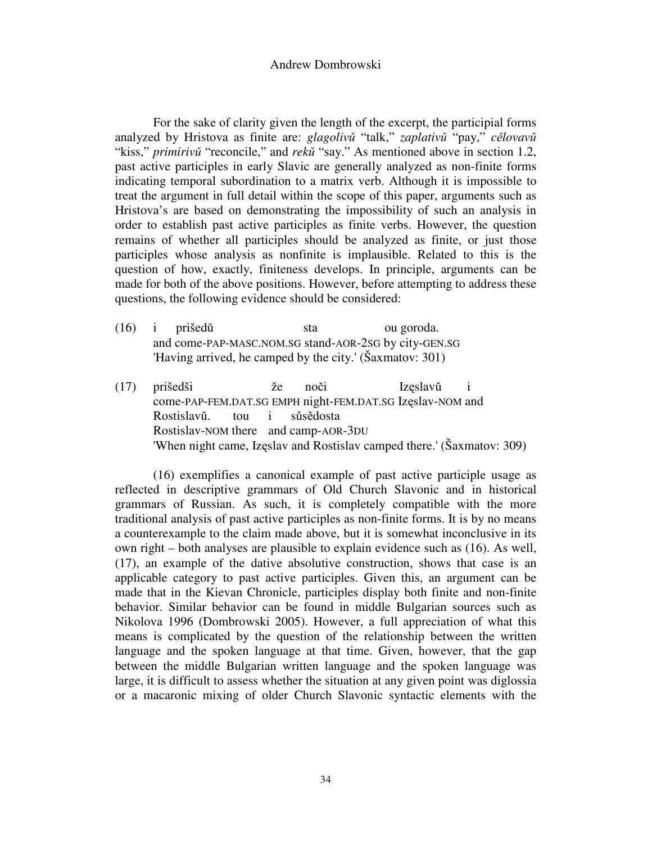#### Andrew Dombrowski

 For the sake of clarity given the length of the excerpt, the participial forms analyzed by Hristova as finite are: *glagoliv*ǔ "talk," *zaplativ*ǔ "pay," *c*ě*lovav*ǔ "kiss," *primiriv*ǔ "reconcile," and *rek*ǔ "say." As mentioned above in section 1.2, past active participles in early Slavic are generally analyzed as non-finite forms indicating temporal subordination to a matrix verb. Although it is impossible to treat the argument in full detail within the scope of this paper, arguments such as Hristova's are based on demonstrating the impossibility of such an analysis in order to establish past active participles as finite verbs. However, the question remains of whether all participles should be analyzed as finite, or just those participles whose analysis as nonfinite is implausible. Related to this is the question of how, exactly, finiteness develops. In principle, arguments can be made for both of the above positions. However, before attempting to address these questions, the following evidence should be considered:

- (16) i prišedǔ sta ou goroda. and come-PAP-MASC.NOM.SG stand-AOR-2SG by city-GEN.SG 'Having arrived, he camped by the city.' (Šaxmatov: 301)
- (17) prišedši že noči Izęslavǔ i come-PAP-FEM.DAT.SG EMPH night-FEM.DAT.SG Izęslav-NOM and Rostislavǔ. tou i sǔsědosta Rostislav-NOM there and camp-AOR-3DU 'When night came, Izęslav and Rostislav camped there.' (Šaxmatov: 309)

 (16) exemplifies a canonical example of past active participle usage as reflected in descriptive grammars of Old Church Slavonic and in historical grammars of Russian. As such, it is completely compatible with the more traditional analysis of past active participles as non-finite forms. It is by no means a counterexample to the claim made above, but it is somewhat inconclusive in its own right – both analyses are plausible to explain evidence such as (16). As well, (17), an example of the dative absolutive construction, shows that case is an applicable category to past active participles. Given this, an argument can be made that in the Kievan Chronicle, participles display both finite and non-finite behavior. Similar behavior can be found in middle Bulgarian sources such as Nikolova 1996 (Dombrowski 2005). However, a full appreciation of what this means is complicated by the question of the relationship between the written language and the spoken language at that time. Given, however, that the gap between the middle Bulgarian written language and the spoken language was large, it is difficult to assess whether the situation at any given point was diglossia or a macaronic mixing of older Church Slavonic syntactic elements with the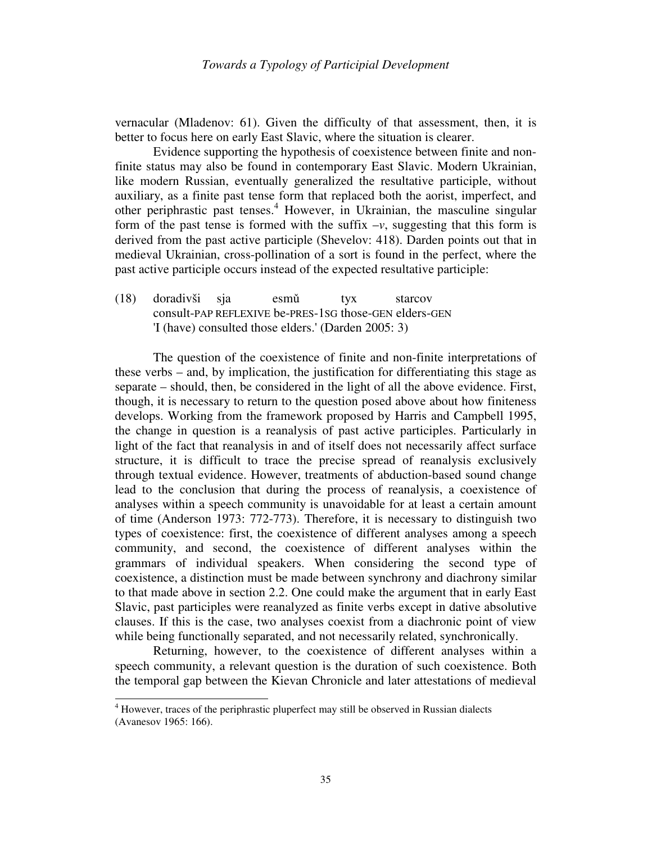vernacular (Mladenov: 61). Given the difficulty of that assessment, then, it is better to focus here on early East Slavic, where the situation is clearer.

 Evidence supporting the hypothesis of coexistence between finite and nonfinite status may also be found in contemporary East Slavic. Modern Ukrainian, like modern Russian, eventually generalized the resultative participle, without auxiliary, as a finite past tense form that replaced both the aorist, imperfect, and other periphrastic past tenses.<sup>4</sup> However, in Ukrainian, the masculine singular form of the past tense is formed with the suffix  $-v$ , suggesting that this form is derived from the past active participle (Shevelov: 418). Darden points out that in medieval Ukrainian, cross-pollination of a sort is found in the perfect, where the past active participle occurs instead of the expected resultative participle:

(18) doradivši sja esmǔ tyx starcov consult-PAP REFLEXIVE be-PRES-1SG those-GEN elders-GEN 'I (have) consulted those elders.' (Darden 2005: 3)

 The question of the coexistence of finite and non-finite interpretations of these verbs – and, by implication, the justification for differentiating this stage as separate – should, then, be considered in the light of all the above evidence. First, though, it is necessary to return to the question posed above about how finiteness develops. Working from the framework proposed by Harris and Campbell 1995, the change in question is a reanalysis of past active participles. Particularly in light of the fact that reanalysis in and of itself does not necessarily affect surface structure, it is difficult to trace the precise spread of reanalysis exclusively through textual evidence. However, treatments of abduction-based sound change lead to the conclusion that during the process of reanalysis, a coexistence of analyses within a speech community is unavoidable for at least a certain amount of time (Anderson 1973: 772-773). Therefore, it is necessary to distinguish two types of coexistence: first, the coexistence of different analyses among a speech community, and second, the coexistence of different analyses within the grammars of individual speakers. When considering the second type of coexistence, a distinction must be made between synchrony and diachrony similar to that made above in section 2.2. One could make the argument that in early East Slavic, past participles were reanalyzed as finite verbs except in dative absolutive clauses. If this is the case, two analyses coexist from a diachronic point of view while being functionally separated, and not necessarily related, synchronically.

 Returning, however, to the coexistence of different analyses within a speech community, a relevant question is the duration of such coexistence. Both the temporal gap between the Kievan Chronicle and later attestations of medieval

 4 However, traces of the periphrastic pluperfect may still be observed in Russian dialects (Avanesov 1965: 166).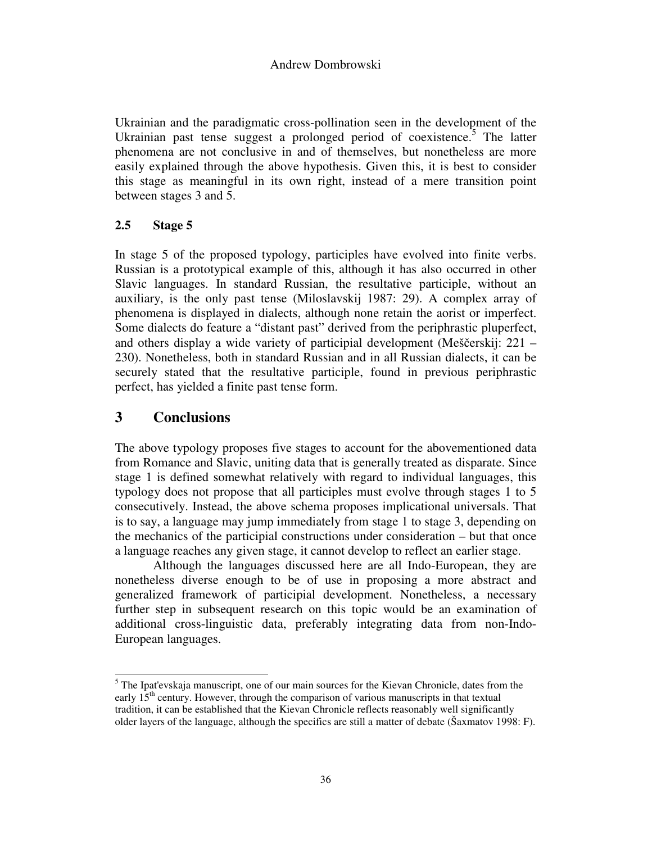Ukrainian and the paradigmatic cross-pollination seen in the development of the Ukrainian past tense suggest a prolonged period of coexistence.<sup>5</sup> The latter phenomena are not conclusive in and of themselves, but nonetheless are more easily explained through the above hypothesis. Given this, it is best to consider this stage as meaningful in its own right, instead of a mere transition point between stages 3 and 5.

# **2.5 Stage 5**

In stage 5 of the proposed typology, participles have evolved into finite verbs. Russian is a prototypical example of this, although it has also occurred in other Slavic languages. In standard Russian, the resultative participle, without an auxiliary, is the only past tense (Miloslavskij 1987: 29). A complex array of phenomena is displayed in dialects, although none retain the aorist or imperfect. Some dialects do feature a "distant past" derived from the periphrastic pluperfect, and others display a wide variety of participial development (Meščerskij: 221 – 230). Nonetheless, both in standard Russian and in all Russian dialects, it can be securely stated that the resultative participle, found in previous periphrastic perfect, has yielded a finite past tense form.

# **3 Conclusions**

l

The above typology proposes five stages to account for the abovementioned data from Romance and Slavic, uniting data that is generally treated as disparate. Since stage 1 is defined somewhat relatively with regard to individual languages, this typology does not propose that all participles must evolve through stages 1 to 5 consecutively. Instead, the above schema proposes implicational universals. That is to say, a language may jump immediately from stage 1 to stage 3, depending on the mechanics of the participial constructions under consideration – but that once a language reaches any given stage, it cannot develop to reflect an earlier stage.

Although the languages discussed here are all Indo-European, they are nonetheless diverse enough to be of use in proposing a more abstract and generalized framework of participial development. Nonetheless, a necessary further step in subsequent research on this topic would be an examination of additional cross-linguistic data, preferably integrating data from non-Indo-European languages.

<sup>&</sup>lt;sup>5</sup> The Ipat'evskaja manuscript, one of our main sources for the Kievan Chronicle, dates from the early  $15<sup>th</sup>$  century. However, through the comparison of various manuscripts in that textual tradition, it can be established that the Kievan Chronicle reflects reasonably well significantly older layers of the language, although the specifics are still a matter of debate (Šaxmatov 1998: F).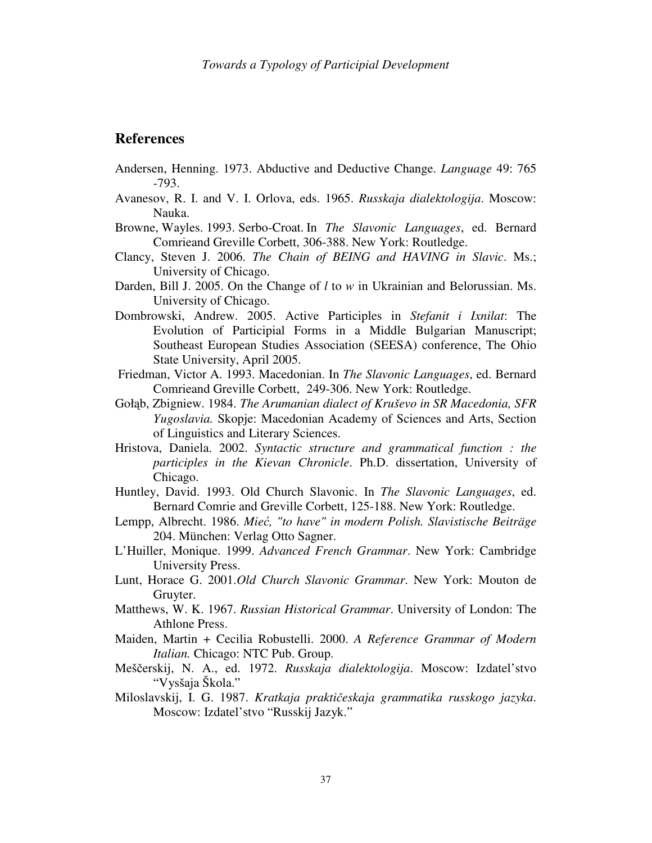# **References**

- Andersen, Henning. 1973. Abductive and Deductive Change. *Language* 49: 765 -793.
- Avanesov, R. I. and V. I. Orlova, eds. 1965. *Russkaja dialektologija*. Moscow: Nauka.
- Browne, Wayles. 1993. Serbo-Croat. In *The Slavonic Languages*, ed. Bernard Comrieand Greville Corbett, 306-388. New York: Routledge.
- Clancy, Steven J. 2006. *The Chain of BEING and HAVING in Slavic*. Ms.; University of Chicago.
- Darden, Bill J. 2005. On the Change of *l* to *w* in Ukrainian and Belorussian. Ms. University of Chicago.
- Dombrowski, Andrew. 2005. Active Participles in *Stefanit i Ixnilat*: The Evolution of Participial Forms in a Middle Bulgarian Manuscript; Southeast European Studies Association (SEESA) conference, The Ohio State University, April 2005.
- Friedman, Victor A. 1993. Macedonian. In *The Slavonic Languages*, ed. Bernard Comrieand Greville Corbett, 249-306. New York: Routledge.
- Gołąb, Zbigniew. 1984. *The Arumanian dialect of Kruševo in SR Macedonia, SFR Yugoslavia.* Skopje: Macedonian Academy of Sciences and Arts, Section of Linguistics and Literary Sciences.
- Hristova, Daniela. 2002. *Syntactic structure and grammatical function : the participles in the Kievan Chronicle*. Ph.D. dissertation, University of Chicago.
- Huntley, David. 1993. Old Church Slavonic. In *The Slavonic Languages*, ed. Bernard Comrie and Greville Corbett, 125-188. New York: Routledge.
- Lempp, Albrecht. 1986. *Mie*ć*, "to have" in modern Polish. Slavistische Beiträge* 204. München: Verlag Otto Sagner.
- L'Huiller, Monique. 1999. *Advanced French Grammar*. New York: Cambridge University Press.
- Lunt, Horace G. 2001.*Old Church Slavonic Grammar*. New York: Mouton de Gruyter.
- Matthews, W. K. 1967. *Russian Historical Grammar*. University of London: The Athlone Press.
- Maiden, Martin + Cecilia Robustelli. 2000. *A Reference Grammar of Modern Italian.* Chicago: NTC Pub. Group.
- Meščerskij, N. A., ed. 1972. *Russkaja dialektologija*. Moscow: Izdatel'stvo "Vysšaja Škola."
- Miloslavskij, I. G. 1987. *Kratkaja prakti*č*eskaja grammatika russkogo jazyka*. Moscow: Izdatel'stvo "Russkij Jazyk."